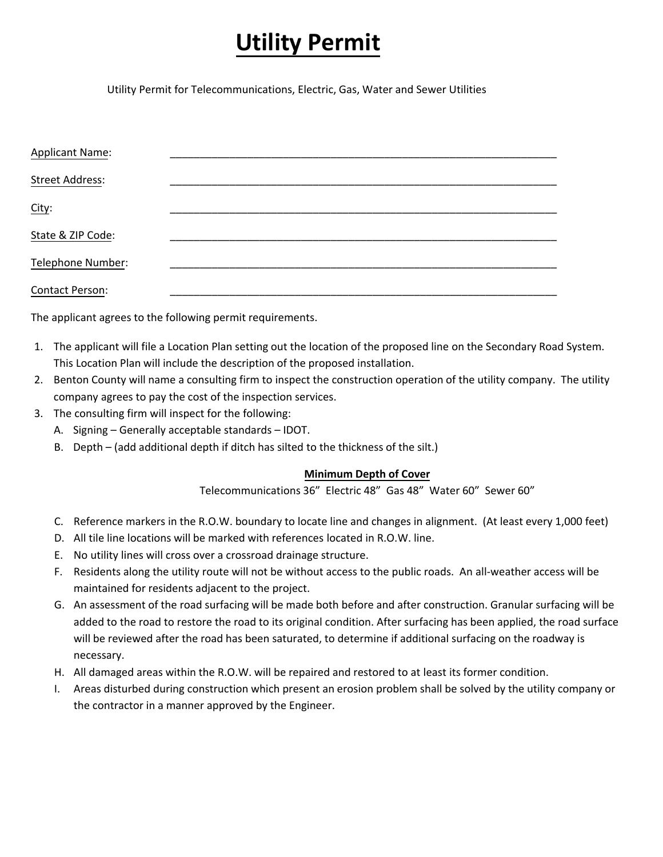## **Utility Permit**

Utility Permit for Telecommunications, Electric, Gas, Water and Sewer Utilities

| <b>Applicant Name:</b> |  |
|------------------------|--|
| <b>Street Address:</b> |  |
| City:                  |  |
| State & ZIP Code:      |  |
| Telephone Number:      |  |
| <b>Contact Person:</b> |  |

The applicant agrees to the following permit requirements.

- 1. The applicant will file a Location Plan setting out the location of the proposed line on the Secondary Road System. This Location Plan will include the description of the proposed installation.
- 2. Benton County will name a consulting firm to inspect the construction operation of the utility company. The utility company agrees to pay the cost of the inspection services.
- 3. The consulting firm will inspect for the following:
	- A. Signing Generally acceptable standards IDOT.
	- B. Depth (add additional depth if ditch has silted to the thickness of the silt.)

## **Minimum Depth of Cover**

Telecommunications 36" Electric 48" Gas 48" Water 60" Sewer 60"

- C. Reference markers in the R.O.W. boundary to locate line and changes in alignment. (At least every 1,000 feet)
- D. All tile line locations will be marked with references located in R.O.W. line.
- E. No utility lines will cross over a crossroad drainage structure.
- F. Residents along the utility route will not be without access to the public roads. An all-weather access will be maintained for residents adjacent to the project.
- G. An assessment of the road surfacing will be made both before and after construction. Granular surfacing will be added to the road to restore the road to its original condition. After surfacing has been applied, the road surface will be reviewed after the road has been saturated, to determine if additional surfacing on the roadway is necessary.
- H. All damaged areas within the R.O.W. will be repaired and restored to at least its former condition.
- I. Areas disturbed during construction which present an erosion problem shall be solved by the utility company or the contractor in a manner approved by the Engineer.